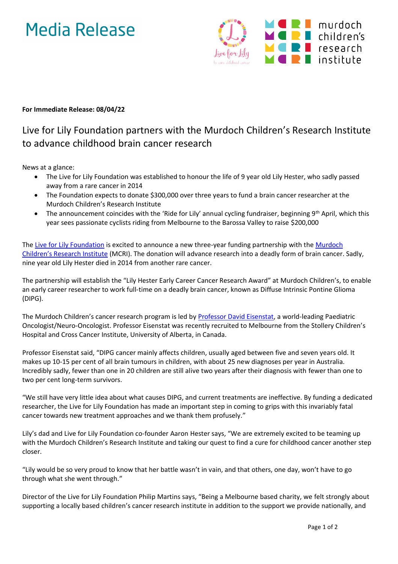# Media Release



### **For Immediate Release: 08/04/22**

## Live for Lily Foundation partners with the Murdoch Children's Research Institute to advance childhood brain cancer research

News at a glance:

- The Live for Lily Foundation was established to honour the life of 9 year old Lily Hester, who sadly passed away from a rare cancer in 2014
- The Foundation expects to donate \$300,000 over three years to fund a brain cancer researcher at the Murdoch Children's Research Institute
- The announcement coincides with the 'Ride for Lily' annual cycling fundraiser, beginning  $9<sup>th</sup>$  April, which this year sees passionate cyclists riding from Melbourne to the Barossa Valley to raise \$200,000

The [Live for Lily Foundation](https://liveforlily.org.au/) is excited to announce a new three-year funding partnership with the Murdoch [Children's Research Institute](https://www.mcri.edu.au/) (MCRI). The donation will advance research into a deadly form of brain cancer. Sadly, nine year old Lily Hester died in 2014 from another rare cancer.

The partnership will establish the "Lily Hester Early Career Cancer Research Award" at Murdoch Children's, to enable an early career researcher to work full-time on a deadly brain cancer, known as Diffuse Intrinsic Pontine Glioma (DIPG).

The Murdoch Children's cancer research program is led by [Professor David Eisenstat,](https://www.mcri.edu.au/users/david-eisenstat) a world-leading Paediatric Oncologist/Neuro-Oncologist. Professor Eisenstat was recently recruited to Melbourne from the Stollery Children's Hospital and Cross Cancer Institute, University of Alberta, in Canada.

Professor Eisenstat said, "DIPG cancer mainly affects children, usually aged between five and seven years old. It makes up 10-15 per cent of all brain tumours in children, with about 25 new diagnoses per year in Australia. Incredibly sadly, fewer than one in 20 children are still alive two years after their diagnosis with fewer than one to two per cent long-term survivors.

"We still have very little idea about what causes DIPG, and current treatments are ineffective. By funding a dedicated researcher, the Live for Lily Foundation has made an important step in coming to grips with this invariably fatal cancer towards new treatment approaches and we thank them profusely."

Lily's dad and Live for Lily Foundation co-founder Aaron Hester says, "We are extremely excited to be teaming up with the Murdoch Children's Research Institute and taking our quest to find a cure for childhood cancer another step closer.

"Lily would be so very proud to know that her battle wasn't in vain, and that others, one day, won't have to go through what she went through."

Director of the Live for Lily Foundation Philip Martins says, "Being a Melbourne based charity, we felt strongly about supporting a locally based children's cancer research institute in addition to the support we provide nationally, and